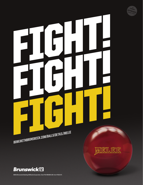

ନ୍ଥ

# FIGHT! FIGHT! BOWLWITHBRUNSWICK.COM/BALLS/DETAIL/MELEE



**©2013 Brunswick Bowling & Billiards Corporation. Item #10-095300-129. Form #1013-07.**